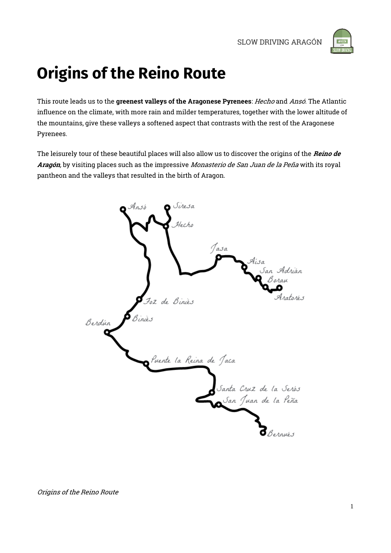

# **Origins of the Reino Route**

This route leads us to the greenest valleys of the Aragonese Pyrenees: Hecho and Ansó. The Atlantic influence on the climate, with more rain and milder temperatures, together with the lower altitude of the mountains, give these valleys a softened aspect that contrasts with the rest of the Aragonese Pyrenees.

The leisurely tour of these beautiful places will also allow us to discover the origins of the Reino de Aragón, by visiting places such as the impressive Monasterio de San Juan de la Peña with its royal pantheon and the valleys that resulted in the birth of Aragon.

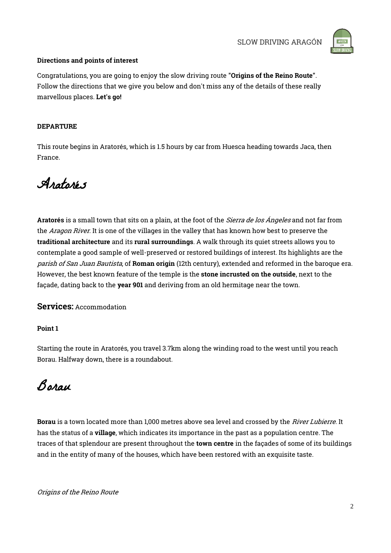

#### Directions and points of interest

Congratulations, you are going to enjoy the slow driving route "Origins of the Reino Route". Follow the directions that we give you below and don't miss any of the details of these really marvellous places. Let's go!

#### DEPARTURE

This route begins in Aratorés, which is 1.5 hours by car from Huesca heading towards Jaca, then France.

Aratorés

Aratorés is a small town that sits on a plain, at the foot of the *Sierra de los Ángeles* and not far from the Aragon River. It is one of the villages in the valley that has known how best to preserve the traditional architecture and its rural surroundings. A walk through its quiet streets allows you to contemplate a good sample of well-preserved or restored buildings of interest. Its highlights are the parish of San Juan Bautista, of Roman origin (12th century), extended and reformed in the baroque era. However, the best known feature of the temple is the stone incrusted on the outside, next to the façade, dating back to the year 901 and deriving from an old hermitage near the town.

Services: Accommodation

Point 1

Starting the route in Aratorés, you travel 3.7km along the winding road to the west until you reach Borau. Halfway down, there is a roundabout.

Borau

Borau is a town located more than 1,000 metres above sea level and crossed by the River Lubierre. It has the status of a village, which indicates its importance in the past as a population centre. The traces of that splendour are present throughout the town centre in the façades of some of its buildings and in the entity of many of the houses, which have been restored with an exquisite taste.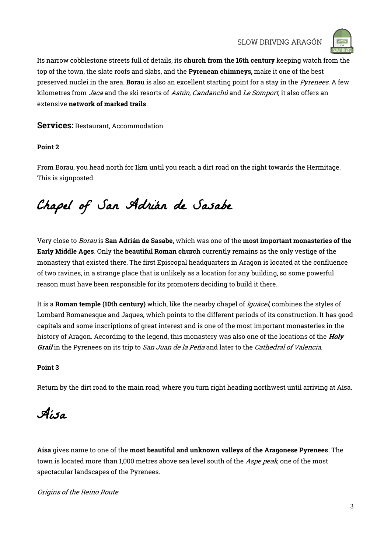

Its narrow cobblestone streets full of details, its church from the 16th century keeping watch from the top of the town, the slate roofs and slabs, and the Pyrenean chimneys, make it one of the best preserved nuclei in the area. Borau is also an excellent starting point for a stay in the Pyrenees. A few kilometres from *Jaca* and the ski resorts of Astún, Candanchú and Le Somport, it also offers an extensive network of marked trails.

Services: Restaurant, Accommodation

#### Point 2

From Borau, you head north for 1km until you reach a dirt road on the right towards the Hermitage. This is signposted.

Chapel of San Adrián de Sasabe

Very close to *Borau* is **San Adrián de Sasabe**, which was one of the **most important monasteries of the** Early Middle Ages. Only the beautiful Roman church currently remains as the only vestige of the monastery that existed there. The first Episcopal headquarters in Aragon is located at the confluence of two ravines, in a strange place that is unlikely as a location for any building, so some powerful reason must have been responsible for its promoters deciding to build it there.

It is a Roman temple (10th century) which, like the nearby chapel of *Iguácel*, combines the styles of Lombard Romanesque and Jaques, which points to the different periods of its construction. It has good capitals and some inscriptions of great interest and is one of the most important monasteries in the history of Aragon. According to the legend, this monastery was also one of the locations of the *Holy* Grail in the Pyrenees on its trip to San Juan de la Peña and later to the Cathedral of Valencia.

#### Point 3

Return by the dirt road to the main road; where you turn right heading northwest until arriving at Aísa.

Aísa

Aísa gives name to one of the most beautiful and unknown valleys of the Aragonese Pyrenees. The town is located more than 1,000 metres above sea level south of the Aspe peak, one of the most spectacular landscapes of the Pyrenees.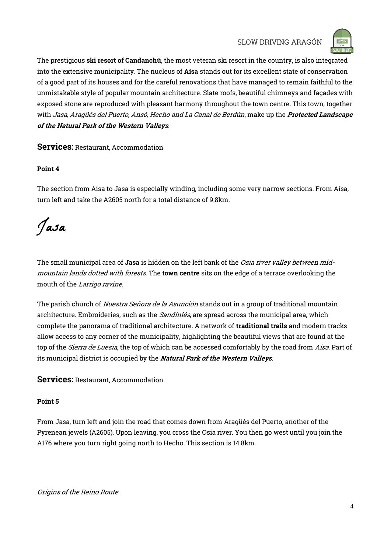

The prestigious ski resort of Candanchú, the most veteran ski resort in the country, is also integrated into the extensive municipality. The nucleus of Aísa stands out for its excellent state of conservation of a good part of its houses and for the careful renovations that have managed to remain faithful to the unmistakable style of popular mountain architecture. Slate roofs, beautiful chimneys and façades with exposed stone are reproduced with pleasant harmony throughout the town centre. This town, together with Jasa, Aragüés del Puerto, Ansó, Hecho and La Canal de Berdún, make up the Protected Landscape of the Natural Park of the Western Valleys.

Services: Restaurant, Accommodation

#### Point 4

The section from Aisa to Jasa is especially winding, including some very narrow sections. From Aísa, turn left and take the A2605 north for a total distance of 9.8km.

Jasa

The small municipal area of Jasa is hidden on the left bank of the *Osia river valley between mid*mountain lands dotted with forests. The town centre sits on the edge of a terrace overlooking the mouth of the Larrigo ravine.

The parish church of *Nuestra Señora de la Asunción* stands out in a group of traditional mountain architecture. Embroideries, such as the *Sandiniés*, are spread across the municipal area, which complete the panorama of traditional architecture. A network of traditional trails and modern tracks allow access to any corner of the municipality, highlighting the beautiful views that are found at the top of the *Sierra de Luesia*, the top of which can be accessed comfortably by the road from Aisa. Part of its municipal district is occupied by the **Natural Park of the Western Valleys**.

Services: Restaurant, Accommodation

#### Point 5

From Jasa, turn left and join the road that comes down from Aragüés del Puerto, another of the Pyrenean jewels (A2605). Upon leaving, you cross the Osia river. You then go west until you join the A176 where you turn right going north to Hecho. This section is 14.8km.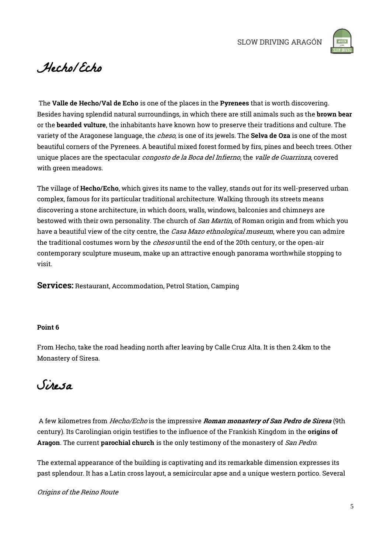

### Hecho/Echo

The Valle de Hecho/Val de Echo is one of the places in the Pyrenees that is worth discovering. Besides having splendid natural surroundings, in which there are still animals such as the brown bear or the bearded vulture, the inhabitants have known how to preserve their traditions and culture. The variety of the Aragonese language, the *cheso*, is one of its jewels. The **Selva de Oza** is one of the most beautiful corners of the Pyrenees. A beautiful mixed forest formed by firs, pines and beech trees. Other unique places are the spectacular *congosto de la Boca del Infierno*, the *valle de Guarrinza*, covered with green meadows.

The village of Hecho/Echo, which gives its name to the valley, stands out for its well-preserved urban complex, famous for its particular traditional architecture. Walking through its streets means discovering a stone architecture, in which doors, walls, windows, balconies and chimneys are bestowed with their own personality. The church of *San Martín*, of Roman origin and from which you have a beautiful view of the city centre, the *Casa Mazo ethnological museum*, where you can admire the traditional costumes worn by the *chesos* until the end of the 20th century, or the open-air contemporary sculpture museum, make up an attractive enough panorama worthwhile stopping to visit.

Services: Restaurant, Accommodation, Petrol Station, Camping

#### Point 6

From Hecho, take the road heading north after leaving by Calle Cruz Alta. It is then 2.4km to the Monastery of Siresa.

### Siresa

A few kilometres from *Hecho/Echo* is the impressive *Roman monastery of San Pedro de Siresa* (9th century). Its Carolingian origin testifies to the influence of the Frankish Kingdom in the origins of Aragon. The current parochial church is the only testimony of the monastery of San Pedro.

The external appearance of the building is captivating and its remarkable dimension expresses its past splendour. It has a Latin cross layout, a semicircular apse and a unique western portico. Several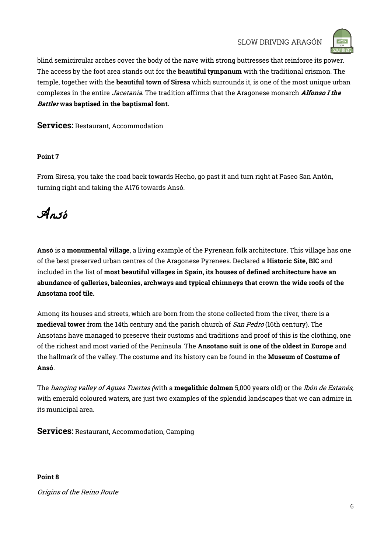

blind semicircular arches cover the body of the nave with strong buttresses that reinforce its power. The access by the foot area stands out for the **beautiful tympanum** with the traditional crismon. The temple, together with the **beautiful town of Siresa** which surrounds it, is one of the most unique urban complexes in the entire Jacetania. The tradition affirms that the Aragonese monarch Alfonso I the Battler was baptised in the baptismal font.

Services: Restaurant, Accommodation

#### Point 7

From Siresa, you take the road back towards Hecho, go past it and turn right at Paseo San Antón, turning right and taking the A176 towards Ansó.

Ansó

Ansó is a monumental village, a living example of the Pyrenean folk architecture. This village has one of the best preserved urban centres of the Aragonese Pyrenees. Declared a Historic Site, BIC and included in the list of most beautiful villages in Spain, its houses of defined architecture have an abundance of galleries, balconies, archways and typical chimneys that crown the wide roofs of the Ansotana roof tile.

Among its houses and streets, which are born from the stone collected from the river, there is a medieval tower from the 14th century and the parish church of San Pedro (16th century). The Ansotans have managed to preserve their customs and traditions and proof of this is the clothing, one of the richest and most varied of the Peninsula. The Ansotano suit is one of the oldest in Europe and the hallmark of the valley. The costume and its history can be found in the Museum of Costume of Ansó.

The *hanging valley of Aguas Tuertas (with* a **megalithic dolmen** 5,000 years old) or the *Ibón de Estanés*, with emerald coloured waters, are just two examples of the splendid landscapes that we can admire in its municipal area.

Services: Restaurant, Accommodation, Camping

Point 8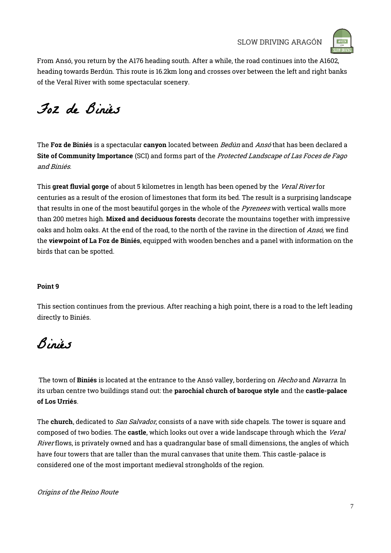

From Ansó, you return by the A176 heading south. After a while, the road continues into the A1602, heading towards Berdún. This route is 16.2km long and crosses over between the left and right banks of the Veral River with some spectacular scenery.

Foz de Biniés

The Foz de Biniés is a spectacular canyon located between *Bedún* and Ansó that has been declared a Site of Community Importance (SCI) and forms part of the Protected Landscape of Las Foces de Fago and Biniés.

This great fluvial gorge of about 5 kilometres in length has been opened by the Veral River for centuries as a result of the erosion of limestones that form its bed. The result is a surprising landscape that results in one of the most beautiful gorges in the whole of the *Pyrenees* with vertical walls more than 200 metres high. Mixed and deciduous forests decorate the mountains together with impressive oaks and holm oaks. At the end of the road, to the north of the ravine in the direction of Ansó, we find the viewpoint of La Foz de Biniés, equipped with wooden benches and a panel with information on the birds that can be spotted.

#### Point 9

This section continues from the previous. After reaching a high point, there is a road to the left leading directly to Biniés.

## Biniés

The town of Biniés is located at the entrance to the Ansó valley, bordering on *Hecho* and Navarra. In its urban centre two buildings stand out: the parochial church of baroque style and the castle-palace of Los Urriés.

The church, dedicated to *San Salvador*, consists of a nave with side chapels. The tower is square and composed of two bodies. The castle, which looks out over a wide landscape through which the Veral River flows, is privately owned and has a quadrangular base of small dimensions, the angles of which have four towers that are taller than the mural canvases that unite them. This castle-palace is considered one of the most important medieval strongholds of the region.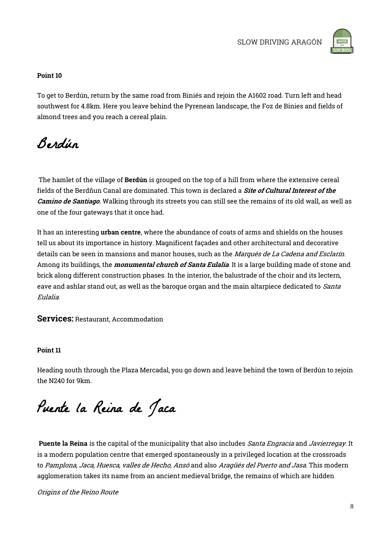

#### Point 10

To get to Berdún, return by the same road from Biniés and rejoin the A1602 road. Turn left and head southwest for 4.8km. Here you leave behind the Pyrenean landscape, the Foz de Binies and fields of almond trees and you reach a cereal plain.

Berdún

The hamlet of the village of **Berdún** is grouped on the top of a hill from where the extensive cereal fields of the Berdñun Canal are dominated. This town is declared a *Site of Cultural Interest of the* Camino de Santiago. Walking through its streets you can still see the remains of its old wall, as well as one of the four gateways that it once had.

It has an interesting urban centre, where the abundance of coats of arms and shields on the houses tell us about its importance in history. Magnificent façades and other architectural and decorative details can be seen in mansions and manor houses, such as the Marqués de La Cadena and Esclarín. Among its buildings, the *monumental church of Santa Eulalia*. It is a large building made of stone and brick along different construction phases. In the interior, the balustrade of the choir and its lectern, eave and ashlar stand out, as well as the baroque organ and the main altarpiece dedicated to *Santa* Eulalia.

Services: Restaurant, Accommodation

#### Point 11

Heading south through the Plaza Mercadal, you go down and leave behind the town of Berdún to rejoin the N240 for 9km.

Puente la Reina de Jaca

Puente la Reina is the capital of the municipality that also includes Santa Engracia and Javierregay. It is a modern population centre that emerged spontaneously in a privileged location at the crossroads to Pamplona, Jaca, Huesca, valles de Hecho, Ansó and also Aragüés del Puerto and Jasa. This modern agglomeration takes its name from an ancient medieval bridge, the remains of which are hidden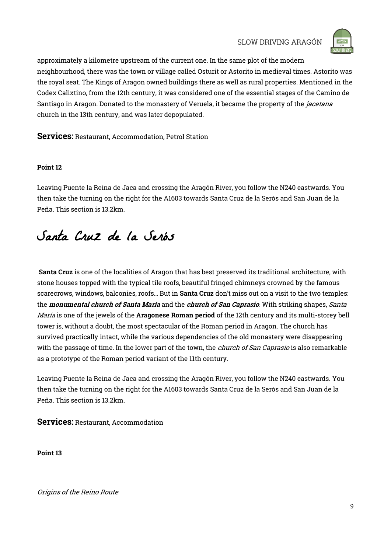

approximately a kilometre upstream of the current one. In the same plot of the modern neighbourhood, there was the town or village called Osturit or Astorito in medieval times. Astorito was the royal seat. The Kings of Aragon owned buildings there as well as rural properties. Mentioned in the Codex Calixtino, from the 12th century, it was considered one of the essential stages of the Camino de Santiago in Aragon. Donated to the monastery of Veruela, it became the property of the *jacetana* church in the 13th century, and was later depopulated.

Services: Restaurant, Accommodation, Petrol Station

#### Point 12

Leaving Puente la Reina de Jaca and crossing the Aragón River, you follow the N240 eastwards. You then take the turning on the right for the A1603 towards Santa Cruz de la Serós and San Juan de la Peña. This section is 13.2km.

## Santa Cruz de la Serós

Santa Cruz is one of the localities of Aragon that has best preserved its traditional architecture, with stone houses topped with the typical tile roofs, beautiful fringed chimneys crowned by the famous scarecrows, windows, balconies, roofs… But in Santa Cruz don't miss out on a visit to the two temples: the *monumental church of Santa María* and the *church of San Caprasio*. With striking shapes, Santa María is one of the jewels of the Aragonese Roman period of the 12th century and its multi-storey bell tower is, without a doubt, the most spectacular of the Roman period in Aragon. The church has survived practically intact, while the various dependencies of the old monastery were disappearing with the passage of time. In the lower part of the town, the *church of San Caprasio* is also remarkable as a prototype of the Roman period variant of the 11th century.

Leaving Puente la Reina de Jaca and crossing the Aragón River, you follow the N240 eastwards. You then take the turning on the right for the A1603 towards Santa Cruz de la Serós and San Juan de la Peña. This section is 13.2km.

Services: Restaurant, Accommodation

Point 13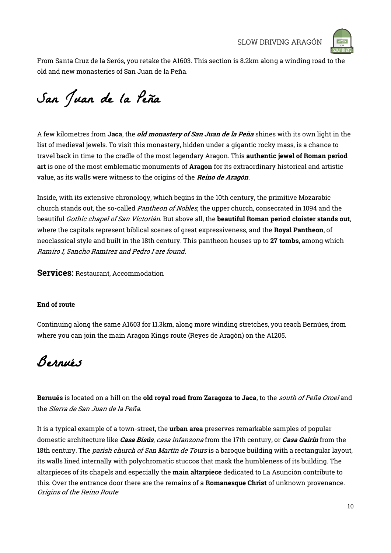

From Santa Cruz de la Serós, you retake the A1603. This section is 8.2km along a winding road to the old and new monasteries of San Juan de la Peña.

# San Juan de la Peña

A few kilometres from **Jaca**, the *old monastery of San Juan de la Peña* shines with its own light in the list of medieval jewels. To visit this monastery, hidden under a gigantic rocky mass, is a chance to travel back in time to the cradle of the most legendary Aragon. This authentic jewel of Roman period art is one of the most emblematic monuments of Aragon for its extraordinary historical and artistic value, as its walls were witness to the origins of the Reino de Aragón.

Inside, with its extensive chronology, which begins in the 10th century, the primitive Mozarabic church stands out, the so-called *Pantheon of Nobles*, the upper church, consecrated in 1094 and the beautiful *Gothic chapel of San Victorián*. But above all, the **beautiful Roman period cloister stands out**, where the capitals represent biblical scenes of great expressiveness, and the Royal Pantheon, of neoclassical style and built in the 18th century. This pantheon houses up to 27 tombs, among which Ramiro I, Sancho Ramírez and Pedro I are found.

Services: Restaurant, Accommodation

#### End of route

Continuing along the same A1603 for 11.3km, along more winding stretches, you reach Bernúes, from where you can join the main Aragon Kings route (Reyes de Aragón) on the A1205.

Bernués

Bernués is located on a hill on the old royal road from Zaragoza to Jaca, to the south of Peña Oroel and the Sierra de San Juan de la Peña.

Origins of the Reino Route It is a typical example of a town-street, the **urban area** preserves remarkable samples of popular domestic architecture like Casa Bisús, casa infanzona from the 17th century, or Casa Gairín from the 18th century. The *parish church of San Martín de Tours* is a baroque building with a rectangular layout, its walls lined internally with polychromatic stuccos that mask the humbleness of its building. The altarpieces of its chapels and especially the main altarpiece dedicated to La Asunción contribute to this. Over the entrance door there are the remains of a Romanesque Christ of unknown provenance.